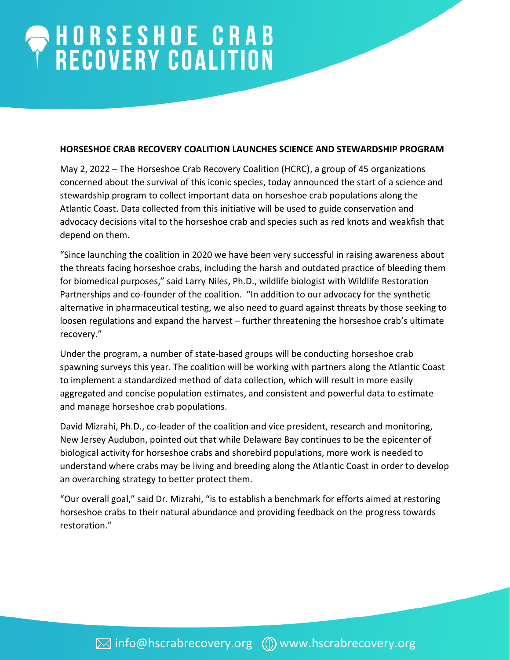## HORSESHOE CRAB<br>RECOVERY COALITION

## **HORSESHOE CRAB RECOVERY COALITION LAUNCHES SCIENCE AND STEWARDSHIP PROGRAM**

May 2, 2022 – The Horseshoe Crab Recovery Coalition (HCRC), a group of 45 organizations concerned about the survival of this iconic species, today announced the start of a science and stewardship program to collect important data on horseshoe crab populations along the Atlantic Coast. Data collected from this initiative will be used to guide conservation and advocacy decisions vital to the horseshoe crab and species such as red knots and weakfish that depend on them.

"Since launching the coalition in 2020 we have been very successful in raising awareness about the threats facing horseshoe crabs, including the harsh and outdated practice of bleeding them for biomedical purposes," said Larry Niles, Ph.D., wildlife biologist with Wildlife Restoration Partnerships and co-founder of the coalition. "In addition to our advocacy for the synthetic alternative in pharmaceutical testing, we also need to guard against threats by those seeking to loosen regulations and expand the harvest – further threatening the horseshoe crab's ultimate recovery."

Under the program, a number of state-based groups will be conducting horseshoe crab spawning surveys this year. The coalition will be working with partners along the Atlantic Coast to implement a standardized method of data collection, which will result in more easily aggregated and concise population estimates, and consistent and powerful data to estimate and manage horseshoe crab populations.

David Mizrahi, Ph.D., co-leader of the coalition and vice president, research and monitoring, New Jersey Audubon, pointed out that while Delaware Bay continues to be the epicenter of biological activity for horseshoe crabs and shorebird populations, more work is needed to understand where crabs may be living and breeding along the Atlantic Coast in order to develop an overarching strategy to better protect them.

"Our overall goal," said Dr. Mizrahi, "is to establish a benchmark for efforts aimed at restoring horseshoe crabs to their natural abundance and providing feedback on the progress towards restoration."